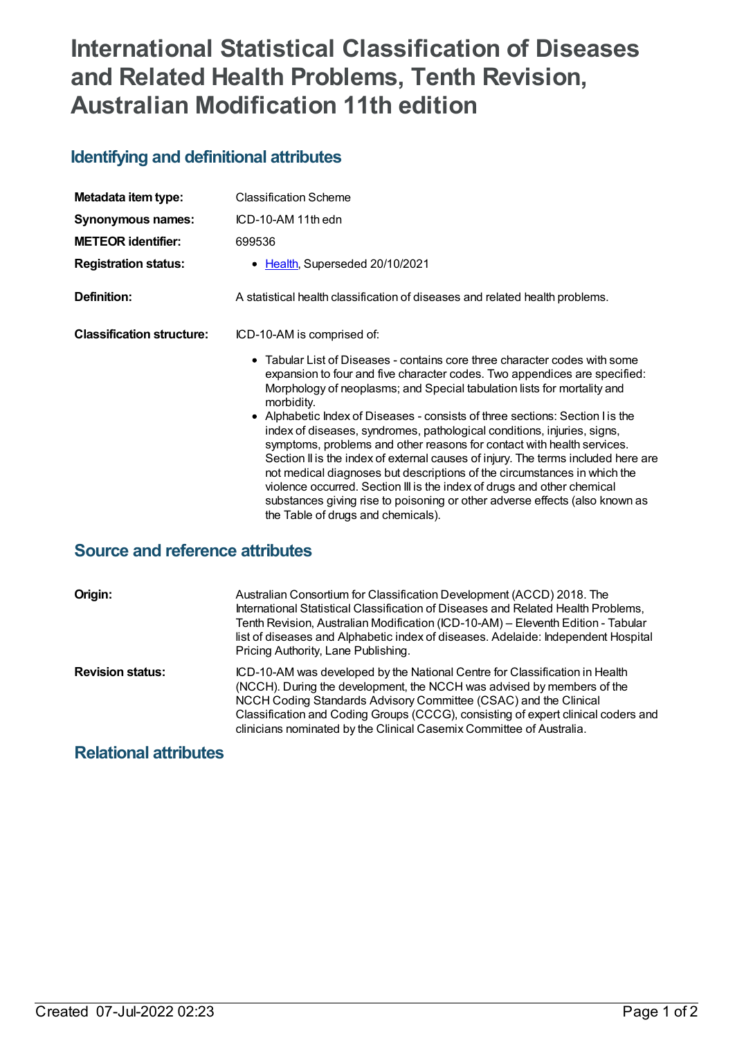## **International Statistical Classification of Diseases and Related Health Problems, Tenth Revision, Australian Modification 11th edition**

## **Identifying and definitional attributes**

| Metadata item type:              | <b>Classification Scheme</b>                                                                                                                                                                                                                                                                                                                                                                                                                                                                                                                                                                        |
|----------------------------------|-----------------------------------------------------------------------------------------------------------------------------------------------------------------------------------------------------------------------------------------------------------------------------------------------------------------------------------------------------------------------------------------------------------------------------------------------------------------------------------------------------------------------------------------------------------------------------------------------------|
| Synonymous names:                | ICD-10-AM 11th edn                                                                                                                                                                                                                                                                                                                                                                                                                                                                                                                                                                                  |
| <b>METEOR identifier:</b>        | 699536                                                                                                                                                                                                                                                                                                                                                                                                                                                                                                                                                                                              |
| <b>Registration status:</b>      | Health, Superseded 20/10/2021                                                                                                                                                                                                                                                                                                                                                                                                                                                                                                                                                                       |
| Definition:                      | A statistical health classification of diseases and related health problems.                                                                                                                                                                                                                                                                                                                                                                                                                                                                                                                        |
| <b>Classification structure:</b> | ICD-10-AM is comprised of:                                                                                                                                                                                                                                                                                                                                                                                                                                                                                                                                                                          |
|                                  | • Tabular List of Diseases - contains core three character codes with some<br>expansion to four and five character codes. Two appendices are specified:<br>Morphology of neoplasms; and Special tabulation lists for mortality and<br>morbidity.                                                                                                                                                                                                                                                                                                                                                    |
|                                  | • Alphabetic Index of Diseases - consists of three sections: Section I is the<br>index of diseases, syndromes, pathological conditions, injuries, signs,<br>symptoms, problems and other reasons for contact with health services.<br>Section II is the index of external causes of injury. The terms included here are<br>not medical diagnoses but descriptions of the circumstances in which the<br>violence occurred. Section III is the index of drugs and other chemical<br>substances giving rise to poisoning or other adverse effects (also known as<br>the Table of drugs and chemicals). |

## **Source and reference attributes**

| Origin:                 | Australian Consortium for Classification Development (ACCD) 2018. The<br>International Statistical Classification of Diseases and Related Health Problems,<br>Tenth Revision, Australian Modification (ICD-10-AM) - Eleventh Edition - Tabular<br>list of diseases and Alphabetic index of diseases. Adelaide: Independent Hospital<br>Pricing Authority, Lane Publishing.             |
|-------------------------|----------------------------------------------------------------------------------------------------------------------------------------------------------------------------------------------------------------------------------------------------------------------------------------------------------------------------------------------------------------------------------------|
| <b>Revision status:</b> | ICD-10-AM was developed by the National Centre for Classification in Health<br>(NCCH). During the development, the NCCH was advised by members of the<br>NCCH Coding Standards Advisory Committee (CSAC) and the Clinical<br>Classification and Coding Groups (CCCG), consisting of expert clinical coders and<br>clinicians nominated by the Clinical Casemix Committee of Australia. |

## **Relational attributes**